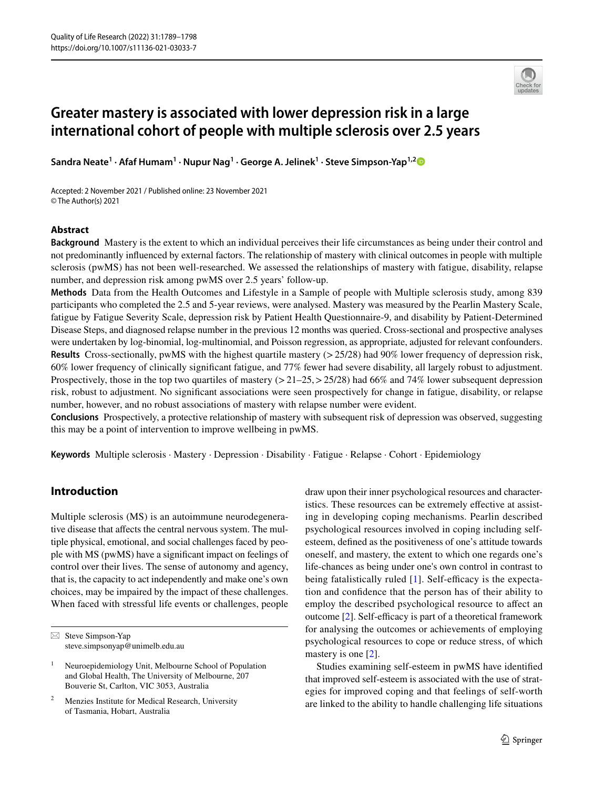

# **Greater mastery is associated with lower depression risk in a large international cohort of people with multiple sclerosis over 2.5 years**

**Sandra Neate<sup>1</sup> · Afaf Humam1 · Nupur Nag1 · George A. Jelinek1 · Steve Simpson‑Yap1,[2](http://orcid.org/0000-0001-6521-3056)**

Accepted: 2 November 2021 / Published online: 23 November 2021 © The Author(s) 2021

# **Abstract**

**Background** Mastery is the extent to which an individual perceives their life circumstances as being under their control and not predominantly infuenced by external factors. The relationship of mastery with clinical outcomes in people with multiple sclerosis (pwMS) has not been well-researched. We assessed the relationships of mastery with fatigue, disability, relapse number, and depression risk among pwMS over 2.5 years' follow-up.

**Methods** Data from the Health Outcomes and Lifestyle in a Sample of people with Multiple sclerosis study, among 839 participants who completed the 2.5 and 5-year reviews, were analysed. Mastery was measured by the Pearlin Mastery Scale, fatigue by Fatigue Severity Scale, depression risk by Patient Health Questionnaire-9, and disability by Patient-Determined Disease Steps, and diagnosed relapse number in the previous 12 months was queried. Cross-sectional and prospective analyses were undertaken by log-binomial, log-multinomial, and Poisson regression, as appropriate, adjusted for relevant confounders. **Results** Cross-sectionally, pwMS with the highest quartile mastery ( $>$ 25/28) had 90% lower frequency of depression risk, 60% lower frequency of clinically signifcant fatigue, and 77% fewer had severe disability, all largely robust to adjustment. Prospectively, those in the top two quartiles of mastery  $(21-25,225/28)$  had 66% and 74% lower subsequent depression risk, robust to adjustment. No signifcant associations were seen prospectively for change in fatigue, disability, or relapse number, however, and no robust associations of mastery with relapse number were evident.

**Conclusions** Prospectively, a protective relationship of mastery with subsequent risk of depression was observed, suggesting this may be a point of intervention to improve wellbeing in pwMS.

**Keywords** Multiple sclerosis · Mastery · Depression · Disability · Fatigue · Relapse · Cohort · Epidemiology

# **Introduction**

Multiple sclerosis (MS) is an autoimmune neurodegenerative disease that affects the central nervous system. The multiple physical, emotional, and social challenges faced by people with MS (pwMS) have a signifcant impact on feelings of control over their lives. The sense of autonomy and agency, that is, the capacity to act independently and make one's own choices, may be impaired by the impact of these challenges. When faced with stressful life events or challenges, people draw upon their inner psychological resources and characteristics. These resources can be extremely effective at assisting in developing coping mechanisms. Pearlin described psychological resources involved in coping including selfesteem, defned as the positiveness of one's attitude towards oneself, and mastery, the extent to which one regards one's life-chances as being under one's own control in contrast to being fatalistically ruled  $[1]$  $[1]$ . Self-efficacy is the expectation and confdence that the person has of their ability to employ the described psychological resource to afect an outcome  $[2]$  $[2]$ . Self-efficacy is part of a theoretical framework for analysing the outcomes or achievements of employing psychological resources to cope or reduce stress, of which mastery is one [\[2](#page-8-1)].

Studies examining self-esteem in pwMS have identifed that improved self-esteem is associated with the use of strategies for improved coping and that feelings of self-worth are linked to the ability to handle challenging life situations

 $\boxtimes$  Steve Simpson-Yap steve.simpsonyap@unimelb.edu.au

<sup>&</sup>lt;sup>1</sup> Neuroepidemiology Unit, Melbourne School of Population and Global Health, The University of Melbourne, 207 Bouverie St, Carlton, VIC 3053, Australia

Menzies Institute for Medical Research, University of Tasmania, Hobart, Australia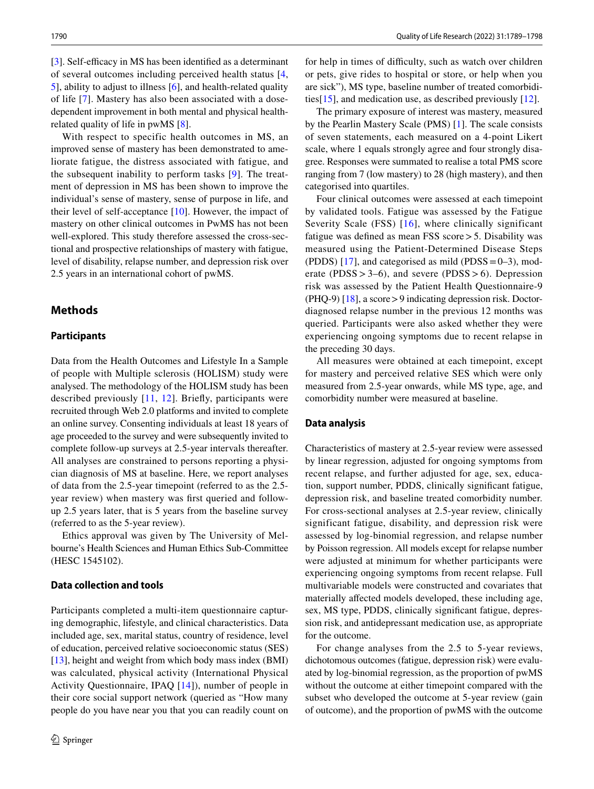[\[3](#page-8-2)]. Self-efficacy in MS has been identified as a determinant of several outcomes including perceived health status [\[4,](#page-8-3) [5](#page-8-4)], ability to adjust to illness [\[6](#page-8-5)], and health-related quality of life [[7\]](#page-8-6). Mastery has also been associated with a dosedependent improvement in both mental and physical healthrelated quality of life in pwMS [[8\]](#page-8-7).

With respect to specific health outcomes in MS, an improved sense of mastery has been demonstrated to ameliorate fatigue, the distress associated with fatigue, and the subsequent inability to perform tasks [[9\]](#page-8-8). The treatment of depression in MS has been shown to improve the individual's sense of mastery, sense of purpose in life, and their level of self-acceptance [[10\]](#page-8-9). However, the impact of mastery on other clinical outcomes in PwMS has not been well-explored. This study therefore assessed the cross-sectional and prospective relationships of mastery with fatigue, level of disability, relapse number, and depression risk over 2.5 years in an international cohort of pwMS.

# **Methods**

# **Participants**

Data from the Health Outcomes and Lifestyle In a Sample of people with Multiple sclerosis (HOLISM) study were analysed. The methodology of the HOLISM study has been described previously [\[11,](#page-8-10) [12](#page-8-11)]. Briefy, participants were recruited through Web 2.0 platforms and invited to complete an online survey. Consenting individuals at least 18 years of age proceeded to the survey and were subsequently invited to complete follow-up surveys at 2.5-year intervals thereafter. All analyses are constrained to persons reporting a physician diagnosis of MS at baseline. Here, we report analyses of data from the 2.5-year timepoint (referred to as the 2.5 year review) when mastery was frst queried and followup 2.5 years later, that is 5 years from the baseline survey (referred to as the 5-year review).

Ethics approval was given by The University of Melbourne's Health Sciences and Human Ethics Sub-Committee (HESC 1545102).

## **Data collection and tools**

Participants completed a multi-item questionnaire capturing demographic, lifestyle, and clinical characteristics. Data included age, sex, marital status, country of residence, level of education, perceived relative socioeconomic status (SES) [\[13](#page-8-12)], height and weight from which body mass index (BMI) was calculated, physical activity (International Physical Activity Questionnaire, IPAQ [\[14\]](#page-8-13)), number of people in their core social support network (queried as "How many people do you have near you that you can readily count on for help in times of difficulty, such as watch over children or pets, give rides to hospital or store, or help when you are sick"), MS type, baseline number of treated comorbidities[[15\]](#page-8-14), and medication use, as described previously [\[12](#page-8-11)].

The primary exposure of interest was mastery, measured by the Pearlin Mastery Scale (PMS) [[1\]](#page-8-0). The scale consists of seven statements, each measured on a 4-point Likert scale, where 1 equals strongly agree and four strongly disagree. Responses were summated to realise a total PMS score ranging from 7 (low mastery) to 28 (high mastery), and then categorised into quartiles.

Four clinical outcomes were assessed at each timepoint by validated tools. Fatigue was assessed by the Fatigue Severity Scale (FSS) [[16](#page-8-15)], where clinically significant fatigue was defned as mean FSS score>5. Disability was measured using the Patient-Determined Disease Steps (PDDS) [[17\]](#page-8-16), and categorised as mild (PDSS =  $0-3$ ), moderate (PDSS  $> 3-6$ ), and severe (PDSS  $> 6$ ). Depression risk was assessed by the Patient Health Questionnaire-9 (PHQ-9) [\[18](#page-8-17)], a score>9 indicating depression risk. Doctordiagnosed relapse number in the previous 12 months was queried. Participants were also asked whether they were experiencing ongoing symptoms due to recent relapse in the preceding 30 days.

All measures were obtained at each timepoint, except for mastery and perceived relative SES which were only measured from 2.5-year onwards, while MS type, age, and comorbidity number were measured at baseline.

#### **Data analysis**

Characteristics of mastery at 2.5-year review were assessed by linear regression, adjusted for ongoing symptoms from recent relapse, and further adjusted for age, sex, education, support number, PDDS, clinically signifcant fatigue, depression risk, and baseline treated comorbidity number. For cross-sectional analyses at 2.5-year review, clinically significant fatigue, disability, and depression risk were assessed by log-binomial regression, and relapse number by Poisson regression. All models except for relapse number were adjusted at minimum for whether participants were experiencing ongoing symptoms from recent relapse. Full multivariable models were constructed and covariates that materially affected models developed, these including age, sex, MS type, PDDS, clinically signifcant fatigue, depression risk, and antidepressant medication use, as appropriate for the outcome.

For change analyses from the 2.5 to 5-year reviews, dichotomous outcomes (fatigue, depression risk) were evaluated by log-binomial regression, as the proportion of pwMS without the outcome at either timepoint compared with the subset who developed the outcome at 5-year review (gain of outcome), and the proportion of pwMS with the outcome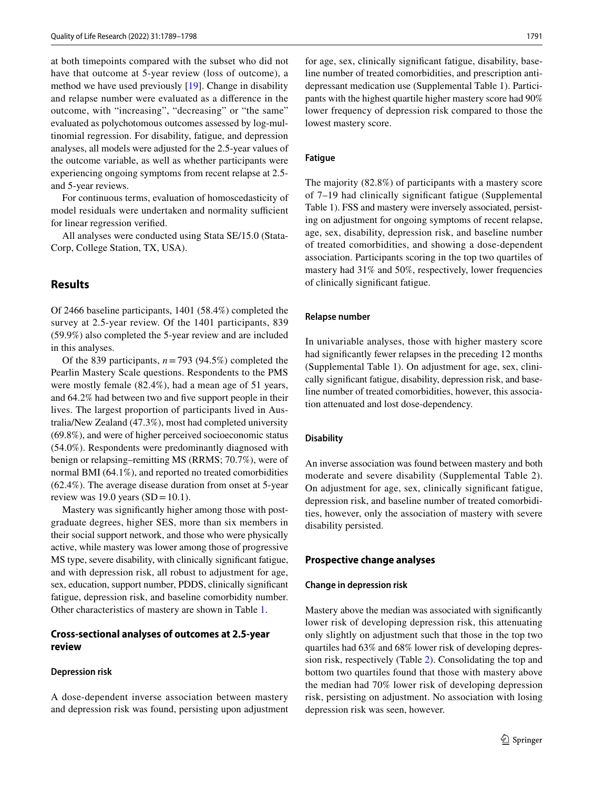at both timepoints compared with the subset who did not have that outcome at 5-year review (loss of outcome), a method we have used previously [[19\]](#page-8-18). Change in disability and relapse number were evaluated as a diference in the outcome, with "increasing", "decreasing" or "the same" evaluated as polychotomous outcomes assessed by log-multinomial regression. For disability, fatigue, and depression analyses, all models were adjusted for the 2.5-year values of the outcome variable, as well as whether participants were experiencing ongoing symptoms from recent relapse at 2.5 and 5-year reviews.

For continuous terms, evaluation of homoscedasticity of model residuals were undertaken and normality sufficient for linear regression verifed.

All analyses were conducted using Stata SE/15.0 (Stata-Corp, College Station, TX, USA).

# **Results**

Of 2466 baseline participants, 1401 (58.4%) completed the survey at 2.5-year review. Of the 1401 participants, 839 (59.9%) also completed the 5-year review and are included in this analyses.

Of the 839 participants,  $n = 793$  (94.5%) completed the Pearlin Mastery Scale questions. Respondents to the PMS were mostly female (82.4%), had a mean age of 51 years, and 64.2% had between two and fve support people in their lives. The largest proportion of participants lived in Australia/New Zealand (47.3%), most had completed university (69.8%), and were of higher perceived socioeconomic status (54.0%). Respondents were predominantly diagnosed with benign or relapsing–remitting MS (RRMS; 70.7%), were of normal BMI (64.1%), and reported no treated comorbidities (62.4%). The average disease duration from onset at 5-year review was 19.0 years  $(SD=10.1)$ .

Mastery was signifcantly higher among those with postgraduate degrees, higher SES, more than six members in their social support network, and those who were physically active, while mastery was lower among those of progressive MS type, severe disability, with clinically signifcant fatigue, and with depression risk, all robust to adjustment for age, sex, education, support number, PDDS, clinically signifcant fatigue, depression risk, and baseline comorbidity number. Other characteristics of mastery are shown in Table [1](#page-3-0).

# **Cross‑sectional analyses of outcomes at 2.5‑year review**

#### **Depression risk**

A dose-dependent inverse association between mastery and depression risk was found, persisting upon adjustment for age, sex, clinically signifcant fatigue, disability, baseline number of treated comorbidities, and prescription antidepressant medication use (Supplemental Table 1). Participants with the highest quartile higher mastery score had 90% lower frequency of depression risk compared to those the lowest mastery score.

# **Fatigue**

The majority (82.8%) of participants with a mastery score of 7–19 had clinically signifcant fatigue (Supplemental Table 1). FSS and mastery were inversely associated, persisting on adjustment for ongoing symptoms of recent relapse, age, sex, disability, depression risk, and baseline number of treated comorbidities, and showing a dose-dependent association. Participants scoring in the top two quartiles of mastery had 31% and 50%, respectively, lower frequencies of clinically signifcant fatigue.

#### **Relapse number**

In univariable analyses, those with higher mastery score had signifcantly fewer relapses in the preceding 12 months (Supplemental Table 1). On adjustment for age, sex, clinically signifcant fatigue, disability, depression risk, and baseline number of treated comorbidities, however, this association attenuated and lost dose-dependency.

#### **Disability**

An inverse association was found between mastery and both moderate and severe disability (Supplemental Table 2). On adjustment for age, sex, clinically signifcant fatigue, depression risk, and baseline number of treated comorbidities, however, only the association of mastery with severe disability persisted.

#### **Prospective change analyses**

#### **Change in depression risk**

Mastery above the median was associated with signifcantly lower risk of developing depression risk, this attenuating only slightly on adjustment such that those in the top two quartiles had 63% and 68% lower risk of developing depression risk, respectively (Table [2](#page-5-0)). Consolidating the top and bottom two quartiles found that those with mastery above the median had 70% lower risk of developing depression risk, persisting on adjustment. No association with losing depression risk was seen, however.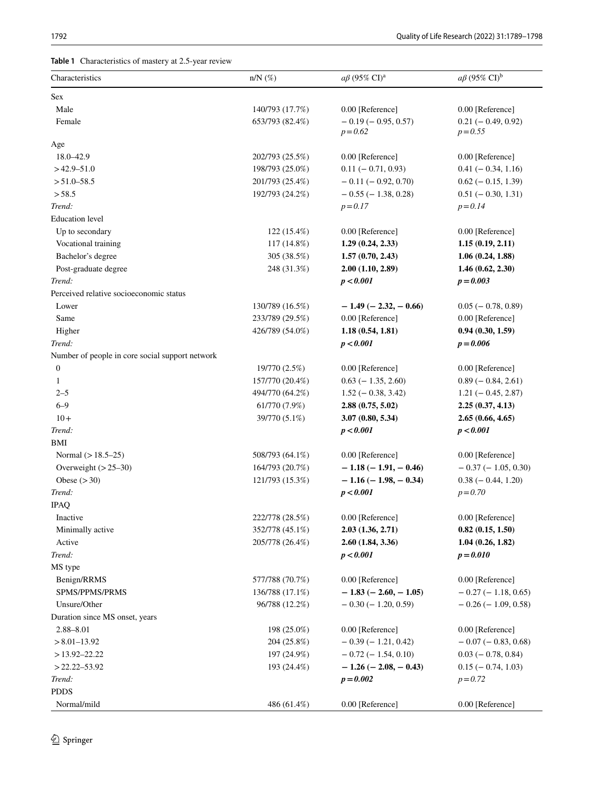<span id="page-3-0"></span>**Table 1** Characteristics of mastery at 2.5-year review

| Characteristics                                 | $n/N$ (%)       | $a\beta$ (95% CI) <sup>a</sup>          | $a\beta$ (95% CI) <sup>b</sup>     |
|-------------------------------------------------|-----------------|-----------------------------------------|------------------------------------|
| Sex                                             |                 |                                         |                                    |
| Male                                            | 140/793 (17.7%) | 0.00 [Reference]                        | 0.00 [Reference]                   |
| Female                                          | 653/793 (82.4%) | $-0.19$ ( $-0.95$ , 0.57)<br>$p = 0.62$ | $0.21 (-0.49, 0.92)$<br>$p = 0.55$ |
| Age                                             |                 |                                         |                                    |
| 18.0-42.9                                       | 202/793 (25.5%) | 0.00 [Reference]                        | 0.00 [Reference]                   |
| $>42.9 - 51.0$                                  | 198/793 (25.0%) | $0.11 (-0.71, 0.93)$                    | $0.41 (-0.34, 1.16)$               |
| $> 51.0 - 58.5$                                 | 201/793 (25.4%) | $-0.11(-0.92, 0.70)$                    | $0.62$ ( $-0.15$ , 1.39)           |
| > 58.5                                          | 192/793 (24.2%) | $-0.55$ ( $-1.38$ , 0.28)               | $0.51 (-0.30, 1.31)$               |
| Trend:                                          |                 | $p = 0.17$                              | $p = 0.14$                         |
| <b>Education</b> level                          |                 |                                         |                                    |
| Up to secondary                                 | 122 (15.4%)     | 0.00 [Reference]                        | 0.00 [Reference]                   |
| Vocational training                             | 117 (14.8%)     | 1.29(0.24, 2.33)                        | 1.15(0.19, 2.11)                   |
| Bachelor's degree                               | 305 (38.5%)     | 1.57(0.70, 2.43)                        | 1.06(0.24, 1.88)                   |
| Post-graduate degree                            | 248 (31.3%)     | 2.00(1.10, 2.89)                        | 1.46(0.62, 2.30)                   |
| Trend:                                          |                 | p < 0.001                               | $p = 0.003$                        |
| Perceived relative socioeconomic status         |                 |                                         |                                    |
| Lower                                           | 130/789 (16.5%) | $-1.49$ ( $-2.32, -0.66$ )              | $0.05 (-0.78, 0.89)$               |
| Same                                            | 233/789 (29.5%) | 0.00 [Reference]                        | 0.00 [Reference]                   |
| Higher                                          | 426/789 (54.0%) | 1.18(0.54, 1.81)                        | 0.94(0.30, 1.59)                   |
| Trend:                                          |                 | p < 0.001                               | $p = 0.006$                        |
| Number of people in core social support network |                 |                                         |                                    |
| $\boldsymbol{0}$                                | 19/770 (2.5%)   | 0.00 [Reference]                        | 0.00 [Reference]                   |
| $\mathbf{1}$                                    | 157/770 (20.4%) | $0.63$ (-1.35, 2.60)                    | $0.89$ ( $-0.84$ , 2.61)           |
| $2 - 5$                                         | 494/770 (64.2%) | $1.52 (-0.38, 3.42)$                    | $1.21 (-0.45, 2.87)$               |
| $6 - 9$                                         | 61/770 (7.9%)   | 2.88(0.75, 5.02)                        | 2.25(0.37, 4.13)                   |
| $10+$                                           | 39/770 (5.1%)   | 3.07(0.80, 5.34)                        | 2.65(0.66, 4.65)                   |
| Trend:                                          |                 | p < 0.001                               | p < 0.001                          |
| <b>BMI</b>                                      |                 |                                         |                                    |
| Normal $(>18.5-25)$                             | 508/793 (64.1%) | 0.00 [Reference]                        | 0.00 [Reference]                   |
| Overweight $(>25-30)$                           | 164/793 (20.7%) | $-1.18(-1.91,-0.46)$                    | $-0.37(-1.05, 0.30)$               |
| Obese $(>30)$                                   | 121/793 (15.3%) | $-1.16(-1.98, -0.34)$                   | $0.38 (-0.44, 1.20)$               |
| Trend:                                          |                 | p < 0.001                               | $p = 0.70$                         |
| <b>IPAQ</b>                                     |                 |                                         |                                    |
| Inactive                                        | 222/778 (28.5%) | 0.00 [Reference]                        | 0.00 [Reference]                   |
| Minimally active                                | 352/778 (45.1%) | 2.03(1.36, 2.71)                        | 0.82(0.15, 1.50)                   |
| Active                                          | 205/778 (26.4%) | 2.60(1.84, 3.36)                        | 1.04(0.26, 1.82)                   |
| Trend:                                          |                 | p < 0.001                               | $p = 0.010$                        |
| MS type                                         |                 |                                         |                                    |
| Benign/RRMS                                     | 577/788 (70.7%) | 0.00 [Reference]                        | 0.00 [Reference]                   |
| SPMS/PPMS/PRMS                                  | 136/788 (17.1%) | $-1.83(-2.60,-1.05)$                    | $-0.27(-1.18, 0.65)$               |
| Unsure/Other                                    | 96/788 (12.2%)  | $-0.30(-1.20, 0.59)$                    | $-0.26$ ( $-1.09, 0.58$ )          |
| Duration since MS onset, years                  |                 |                                         |                                    |
| $2.88 - 8.01$                                   | 198 (25.0%)     | 0.00 [Reference]                        | 0.00 [Reference]                   |
| $> 8.01 - 13.92$                                | 204 (25.8%)     | $-0.39(-1.21, 0.42)$                    | $-0.07$ ( $-0.83, 0.68$ )          |
| $>13.92 - 22.22$                                | 197 (24.9%)     | $-0.72$ ( $-1.54$ , 0.10)               | $0.03 (-0.78, 0.84)$               |
| $>$ 22.22–53.92                                 | 193 (24.4%)     | $-1.26$ ( $-2.08$ , $-0.43$ )           | $0.15 (-0.74, 1.03)$               |
| Trend:                                          |                 | $p = 0.002$                             | $p = 0.72$                         |
| <b>PDDS</b>                                     |                 |                                         |                                    |
| Normal/mild                                     | 486 (61.4%)     | 0.00 [Reference]                        | 0.00 [Reference]                   |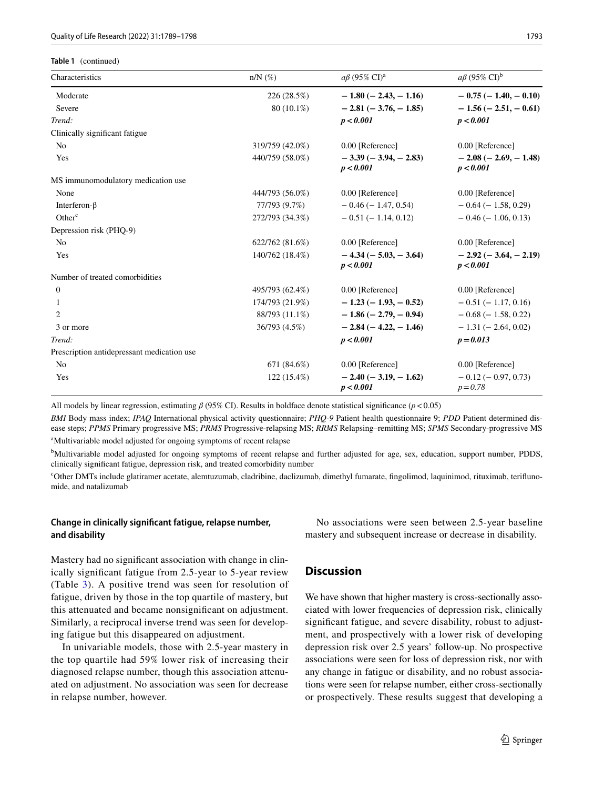**Table 1** (continued)

| Characteristics                            | $n/N$ (%)       | $a\beta$ (95% CI) <sup>a</sup>             | $a\beta$ (95% CI) <sup>b</sup>          |
|--------------------------------------------|-----------------|--------------------------------------------|-----------------------------------------|
| Moderate                                   | 226 (28.5%)     | $-1.80$ ( $-2.43$ , $-1.16$ )              | $-0.75(-1.40,-0.10)$                    |
| Severe                                     | 80 (10.1%)      | $-2.81(-3.76,-1.85)$                       | $-1.56(-2.51,-0.61)$                    |
| Trend:                                     |                 | p < 0.001                                  | p < 0.001                               |
| Clinically significant fatigue             |                 |                                            |                                         |
| N <sub>0</sub>                             | 319/759 (42.0%) | 0.00 [Reference]                           | 0.00 [Reference]                        |
| Yes                                        | 440/759 (58.0%) | $-3.39(-3.94,-2.83)$<br>p < 0.001          | $-2.08(-2.69,-1.48)$<br>p < 0.001       |
| MS immunomodulatory medication use         |                 |                                            |                                         |
| None                                       | 444/793 (56.0%) | 0.00 [Reference]                           | 0.00 [Reference]                        |
| Interferon- $\beta$                        | 77/793 (9.7%)   | $-0.46$ ( $-1.47, 0.54$ )                  | $-0.64$ ( $-1.58$ , 0.29)               |
| Other <sup>c</sup>                         | 272/793 (34.3%) | $-0.51(-1.14, 0.12)$                       | $-0.46$ ( $-1.06$ , 0.13)               |
| Depression risk (PHQ-9)                    |                 |                                            |                                         |
| N <sub>0</sub>                             | 622/762 (81.6%) | 0.00 [Reference]                           | 0.00 [Reference]                        |
| Yes                                        | 140/762 (18.4%) | $-4.34(-5.03,-3.64)$<br>p < 0.001          | $-2.92(-3.64, -2.19)$<br>p < 0.001      |
| Number of treated comorbidities            |                 |                                            |                                         |
| $\mathbf{0}$                               | 495/793 (62.4%) | 0.00 [Reference]                           | 0.00 [Reference]                        |
| 1                                          | 174/793 (21.9%) | $-1.23(-1.93,-0.52)$                       | $-0.51(-1.17, 0.16)$                    |
| $\overline{c}$                             | 88/793 (11.1%)  | $-1.86(-2.79, -0.94)$                      | $-0.68$ ( $-1.58$ , 0.22)               |
| 3 or more                                  | 36/793 (4.5%)   | $-2.84(-4.22,-1.46)$                       | $-1.31(-2.64, 0.02)$                    |
| Trend:                                     |                 | p < 0.001                                  | $p = 0.013$                             |
| Prescription antidepressant medication use |                 |                                            |                                         |
| No                                         | 671 (84.6%)     | 0.00 [Reference]                           | 0.00 [Reference]                        |
| Yes                                        | $122(15.4\%)$   | $-2.40$ ( $-3.19$ , $-1.62$ )<br>p < 0.001 | $-0.12$ ( $-0.97, 0.73$ )<br>$p = 0.78$ |

All models by linear regression, estimating *β* (95% CI). Results in boldface denote statistical signifcance (*p*<0.05)

*BMI* Body mass index; *IPAQ* International physical activity questionnaire; *PHQ-9* Patient health questionnaire 9; *PDD* Patient determined disease steps; *PPMS* Primary progressive MS; *PRMS* Progressive-relapsing MS; *RRMS* Relapsing–remitting MS; *SPMS* Secondary-progressive MS aMultivariable model adjusted for ongoing symptoms of recent relapse

<sup>b</sup>Multivariable model adjusted for ongoing symptoms of recent relapse and further adjusted for age, sex, education, support number, PDDS, clinically signifcant fatigue, depression risk, and treated comorbidity number

c Other DMTs include glatiramer acetate, alemtuzumab, cladribine, daclizumab, dimethyl fumarate, fngolimod, laquinimod, rituximab, terifunomide, and natalizumab

# **Change in clinically signifcant fatigue, relapse number, and disability**

Mastery had no signifcant association with change in clinically signifcant fatigue from 2.5-year to 5-year review (Table [3](#page-6-0)). A positive trend was seen for resolution of fatigue, driven by those in the top quartile of mastery, but this attenuated and became nonsignifcant on adjustment. Similarly, a reciprocal inverse trend was seen for developing fatigue but this disappeared on adjustment.

In univariable models, those with 2.5-year mastery in the top quartile had 59% lower risk of increasing their diagnosed relapse number, though this association attenuated on adjustment. No association was seen for decrease in relapse number, however.

No associations were seen between 2.5-year baseline mastery and subsequent increase or decrease in disability.

# **Discussion**

We have shown that higher mastery is cross-sectionally associated with lower frequencies of depression risk, clinically signifcant fatigue, and severe disability, robust to adjustment, and prospectively with a lower risk of developing depression risk over 2.5 years' follow-up. No prospective associations were seen for loss of depression risk, nor with any change in fatigue or disability, and no robust associations were seen for relapse number, either cross-sectionally or prospectively. These results suggest that developing a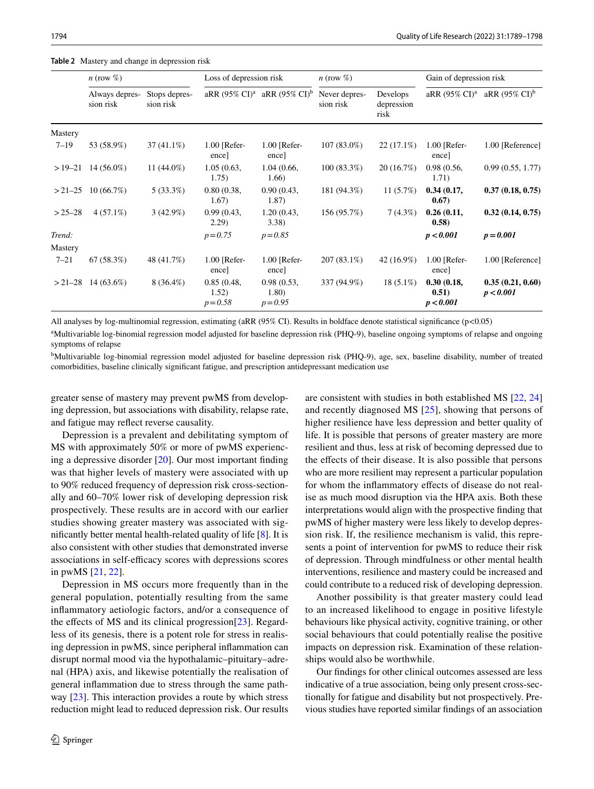|             | $n \text{ (row } \%$        |                            | Loss of depression risk           |                                                     | $n \text{ (row } \%$       |                                | Gain of depression risk          |                                                     |
|-------------|-----------------------------|----------------------------|-----------------------------------|-----------------------------------------------------|----------------------------|--------------------------------|----------------------------------|-----------------------------------------------------|
|             | Always depres-<br>sion risk | Stops depres-<br>sion risk |                                   | aRR $(95\% \text{ CI})^a$ aRR $(95\% \text{ CI})^b$ | Never depres-<br>sion risk | Develops<br>depression<br>risk |                                  | aRR $(95\% \text{ CI})^a$ aRR $(95\% \text{ CI})^b$ |
| Mastery     |                             |                            |                                   |                                                     |                            |                                |                                  |                                                     |
| $7 - 19$    | 53 (58.9%)                  | $37(41.1\%)$               | $1.00$ [Refer-<br>encel           | $1.00$ [Refer-<br>encel                             | $107(83.0\%)$              | $22(17.1\%)$                   | $1.00$ [Refer-<br>ence]          | 1.00 [Reference]                                    |
| $>19-21$    | $14(56.0\%)$                | 11 $(44.0\%)$              | 1.05(0.63,<br>1.75)               | 1.04(0.66,<br>1.66)                                 | $100(83.3\%)$              | 20(16.7%)                      | 0.98(0.56,<br>1.71)              | 0.99(0.55, 1.77)                                    |
|             | $>21-25$ 10 (66.7%)         | $5(33.3\%)$                | 0.80(0.38,<br>1.67)               | 0.90(0.43,<br>1.87)                                 | 181 (94.3%)                | 11(5.7%)                       | 0.34(0.17,<br>0.67)              | 0.37(0.18, 0.75)                                    |
| $> 25 - 28$ | $4(57.1\%)$                 | $3(42.9\%)$                | 0.99(0.43,<br>2.29)               | 1.20(0.43,<br>3.38                                  | 156 (95.7%)                | $7(4.3\%)$                     | 0.26(0.11,<br>(0.58)             | 0.32(0.14, 0.75)                                    |
| Trend:      |                             |                            | $p = 0.75$                        | $p = 0.85$                                          |                            |                                | p < 0.001                        | $p = 0.001$                                         |
| Mastery     |                             |                            |                                   |                                                     |                            |                                |                                  |                                                     |
| $7 - 21$    | 67(58.3%)                   | 48 (41.7%)                 | $1.00$ [Refer-<br>ence            | $1.00$ [Refer-<br>ence]                             | $207(83.1\%)$              | 42 (16.9%)                     | $1.00$ [Refer-<br>ence]          | 1.00 [Reference]                                    |
|             | $>$ 21–28 14 (63.6%)        | $8(36.4\%)$                | 0.85(0.48,<br>1.52)<br>$p = 0.58$ | 0.98(0.53,<br>1.80)<br>$p = 0.95$                   | 337 (94.9%)                | $18(5.1\%)$                    | 0.30(0.18,<br>0.51)<br>p < 0.001 | 0.35(0.21, 0.60)<br>p < 0.001                       |

<span id="page-5-0"></span>**Table 2** Mastery and change in depression risk

All analyses by log-multinomial regression, estimating (aRR (95% CI). Results in boldface denote statistical signifcance (p<0.05)

<sup>a</sup>Multivariable log-binomial regression model adjusted for baseline depression risk (PHQ-9), baseline ongoing symptoms of relapse and ongoing symptoms of relapse

<sup>b</sup>Multivariable log-binomial regression model adjusted for baseline depression risk (PHQ-9), age, sex, baseline disability, number of treated comorbidities, baseline clinically signifcant fatigue, and prescription antidepressant medication use

greater sense of mastery may prevent pwMS from developing depression, but associations with disability, relapse rate, and fatigue may refect reverse causality.

Depression is a prevalent and debilitating symptom of MS with approximately 50% or more of pwMS experiencing a depressive disorder [[20\]](#page-8-19). Our most important fnding was that higher levels of mastery were associated with up to 90% reduced frequency of depression risk cross-sectionally and 60–70% lower risk of developing depression risk prospectively. These results are in accord with our earlier studies showing greater mastery was associated with signifcantly better mental health-related quality of life [\[8](#page-8-7)]. It is also consistent with other studies that demonstrated inverse associations in self-efficacy scores with depressions scores in pwMS [[21](#page-8-20), [22](#page-8-21)].

Depression in MS occurs more frequently than in the general population, potentially resulting from the same infammatory aetiologic factors, and/or a consequence of the effects of MS and its clinical progression $[23]$  $[23]$  $[23]$ . Regardless of its genesis, there is a potent role for stress in realising depression in pwMS, since peripheral infammation can disrupt normal mood via the hypothalamic–pituitary–adrenal (HPA) axis, and likewise potentially the realisation of general infammation due to stress through the same pathway [\[23](#page-9-0)]. This interaction provides a route by which stress reduction might lead to reduced depression risk. Our results are consistent with studies in both established MS [\[22,](#page-8-21) [24\]](#page-9-1) and recently diagnosed MS [[25](#page-9-2)], showing that persons of higher resilience have less depression and better quality of life. It is possible that persons of greater mastery are more resilient and thus, less at risk of becoming depressed due to the efects of their disease. It is also possible that persons who are more resilient may represent a particular population for whom the infammatory efects of disease do not realise as much mood disruption via the HPA axis. Both these interpretations would align with the prospective fnding that pwMS of higher mastery were less likely to develop depression risk. If, the resilience mechanism is valid, this represents a point of intervention for pwMS to reduce their risk of depression. Through mindfulness or other mental health interventions, resilience and mastery could be increased and could contribute to a reduced risk of developing depression.

Another possibility is that greater mastery could lead to an increased likelihood to engage in positive lifestyle behaviours like physical activity, cognitive training, or other social behaviours that could potentially realise the positive impacts on depression risk. Examination of these relationships would also be worthwhile.

Our fndings for other clinical outcomes assessed are less indicative of a true association, being only present cross-sectionally for fatigue and disability but not prospectively. Previous studies have reported similar fndings of an association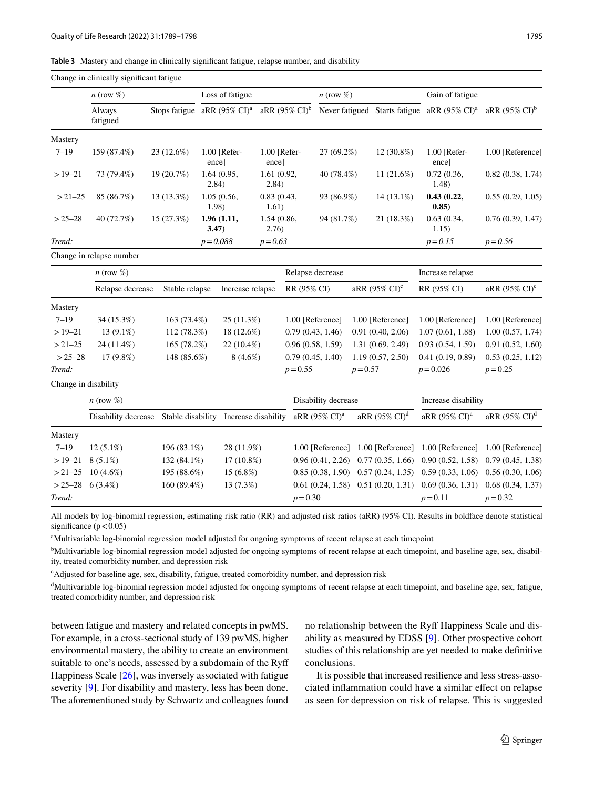#### <span id="page-6-0"></span>**Table 3** Mastery and change in clinically signifcant fatigue, relapse number, and disability

|                      | Change in clinically significant fatigue |                                                  |                       |                  |                       |                           |                            |                          |                           |                                                         |                           |
|----------------------|------------------------------------------|--------------------------------------------------|-----------------------|------------------|-----------------------|---------------------------|----------------------------|--------------------------|---------------------------|---------------------------------------------------------|---------------------------|
|                      | $n$ (row $\%$ )                          |                                                  | Loss of fatigue       |                  | $n \text{ (row } \%$  |                           |                            | Gain of fatigue          |                           |                                                         |                           |
|                      | Always<br>fatigued                       | Stops fatigue aRR $(95\% \text{ CI})^{\text{a}}$ |                       |                  |                       | aRR $(95\% \text{ CI})^b$ |                            |                          |                           | Never fatigued Starts fatigue aRR (95% CI) <sup>a</sup> | aRR $(95\% \text{ CI})^b$ |
| Mastery              |                                          |                                                  |                       |                  |                       |                           |                            |                          |                           |                                                         |                           |
| $7 - 19$             | 159 (87.4%)                              | 23 (12.6%)                                       | 1.00 [Refer-<br>ence] |                  | 1.00 [Refer-<br>ence] |                           | 27 (69.2%)                 |                          | 12 (30.8%)                | 1.00 [Refer-<br>ence]                                   | 1.00 [Reference]          |
| $>19-21$             | 73 (79.4%)                               | 19 (20.7%)                                       | 1.64(0.95,<br>2.84)   |                  | 1.61 (0.92,<br>2.84)  |                           | 11 $(21.6%)$<br>40 (78.4%) |                          | 0.72(0.36,<br>1.48)       | 0.82(0.38, 1.74)                                        |                           |
| $>21-25$             | 85 (86.7%)                               | 13 (13.3%)                                       | 1.05(0.56,<br>1.98)   |                  | 0.83(0.43,<br>1.61)   |                           | 93 (86.9%)                 |                          | 14 (13.1%)                | 0.43(0.22,<br>0.85)                                     | 0.55(0.29, 1.05)          |
| $> 25 - 28$          | 40 (72.7%)                               | 15 (27.3%)                                       | 1.96(1.11,<br>3.47)   |                  |                       | 1.54 (0.86,<br>2.76)      |                            | 21 (18.3%)<br>94 (81.7%) |                           | 0.63(0.34,<br>1.15)                                     | 0.76(0.39, 1.47)          |
| Trend:               |                                          |                                                  | $p = 0.088$           |                  | $p = 0.63$            |                           |                            |                          |                           | $p = 0.15$                                              | $p = 0.56$                |
|                      | Change in relapse number                 |                                                  |                       |                  |                       |                           |                            |                          |                           |                                                         |                           |
|                      | $n \text{ (row } \%$                     |                                                  |                       |                  |                       | Relapse decrease          |                            |                          |                           | Increase relapse                                        |                           |
|                      | Relapse decrease                         | Stable relapse                                   |                       | Increase relapse |                       | RR (95% CI)               |                            |                          | aRR $(95\% \text{ CI})^c$ | RR (95% CI)                                             | aRR (95% CI) <sup>c</sup> |
| Mastery              |                                          |                                                  |                       |                  |                       |                           |                            |                          |                           |                                                         |                           |
| $7 - 19$             | 34 (15.3%)                               | 163 (73.4%)                                      |                       | $25(11.3\%)$     |                       | 1.00 [Reference]          |                            |                          | 1.00 [Reference]          | 1.00 [Reference]                                        | 1.00 [Reference]          |
| $>19-21$             | 13 (9.1%)                                | 112 (78.3%)                                      |                       | 18 (12.6%)       |                       | 0.79(0.43, 1.46)          |                            |                          | 0.91(0.40, 2.06)          | 1.07(0.61, 1.88)                                        | 1.00(0.57, 1.74)          |
| $>21-25$             | 24 (11.4%)                               | 165 (78.2%)                                      |                       | 22 (10.4%)       |                       | 0.96(0.58, 1.59)          |                            |                          | 1.31 (0.69, 2.49)         | 0.93(0.54, 1.59)                                        | 0.91(0.52, 1.60)          |
| $> 25 - 28$          | 17 (9.8%)                                | 148 (85.6%)                                      |                       | $8(4.6\%)$       |                       | 0.79(0.45, 1.40)          |                            |                          | 1.19(0.57, 2.50)          | 0.41(0.19, 0.89)                                        | 0.53(0.25, 1.12)          |
| Trend:               |                                          |                                                  |                       |                  |                       | $p = 0.55$                |                            | $p = 0.57$               |                           | $p = 0.026$                                             | $p = 0.25$                |
| Change in disability |                                          |                                                  |                       |                  |                       |                           |                            |                          |                           |                                                         |                           |
|                      | $n$ (row $\%$ )                          |                                                  |                       |                  | Disability decrease   |                           |                            |                          | Increase disability       |                                                         |                           |
|                      | Disability decrease                      | Stable disability Increase disability            |                       |                  |                       |                           | aRR (95% CI) <sup>a</sup>  |                          | aRR $(95\% \text{ CI})^d$ | aRR (95% CI) <sup>a</sup>                               | aRR $(95\% \text{ CI})^d$ |
| Mastery              |                                          |                                                  |                       |                  |                       |                           |                            |                          |                           |                                                         |                           |
| $7 - 19$             | $12(5.1\%)$                              | 196 (83.1%)                                      |                       | 28 (11.9%)       |                       |                           | 1.00 [Reference]           |                          | 1.00 [Reference]          | 1.00 [Reference]                                        | 1.00 [Reference]          |
| $>19-21$             | $8(5.1\%)$                               | 132 (84.1%)                                      |                       | $17(10.8\%)$     |                       |                           | 0.96(0.41, 2.26)           |                          | 0.77(0.35, 1.66)          | 0.90(0.52, 1.58)                                        | 0.79(0.45, 1.38)          |
| $>21-25$             | $10(4.6\%)$                              | 195 (88.6%)                                      |                       | 15 (6.8%)        |                       |                           | 0.85(0.38, 1.90)           |                          | 0.57(0.24, 1.35)          | 0.59(0.33, 1.06)                                        | 0.56(0.30, 1.06)          |
| $>25-28$             | $6(3.4\%)$                               | 160 (89.4%)                                      |                       | 13 (7.3%)        |                       |                           | 0.61(0.24, 1.58)           |                          | 0.51(0.20, 1.31)          | 0.69(0.36, 1.31)                                        | 0.68(0.34, 1.37)          |
| Trend:               |                                          |                                                  |                       |                  |                       | $p = 0.30$                |                            |                          |                           | $p = 0.11$                                              | $p = 0.32$                |

All models by log-binomial regression, estimating risk ratio (RR) and adjusted risk ratios (aRR) (95% CI). Results in boldface denote statistical significance  $(p < 0.05)$ 

<sup>a</sup>Multivariable log-binomial regression model adjusted for ongoing symptoms of recent relapse at each timepoint

<sup>b</sup>Multivariable log-binomial regression model adjusted for ongoing symptoms of recent relapse at each timepoint, and baseline age, sex, disability, treated comorbidity number, and depression risk

c Adjusted for baseline age, sex, disability, fatigue, treated comorbidity number, and depression risk

<sup>d</sup>Multivariable log-binomial regression model adjusted for ongoing symptoms of recent relapse at each timepoint, and baseline age, sex, fatigue, treated comorbidity number, and depression risk

between fatigue and mastery and related concepts in pwMS. For example, in a cross-sectional study of 139 pwMS, higher environmental mastery, the ability to create an environment suitable to one's needs, assessed by a subdomain of the Ryf Happiness Scale [[26\]](#page-9-3), was inversely associated with fatigue severity [[9\]](#page-8-8). For disability and mastery, less has been done. The aforementioned study by Schwartz and colleagues found no relationship between the Ryf Happiness Scale and disability as measured by EDSS [[9](#page-8-8)]. Other prospective cohort studies of this relationship are yet needed to make defnitive conclusions.

It is possible that increased resilience and less stress-associated infammation could have a similar efect on relapse as seen for depression on risk of relapse. This is suggested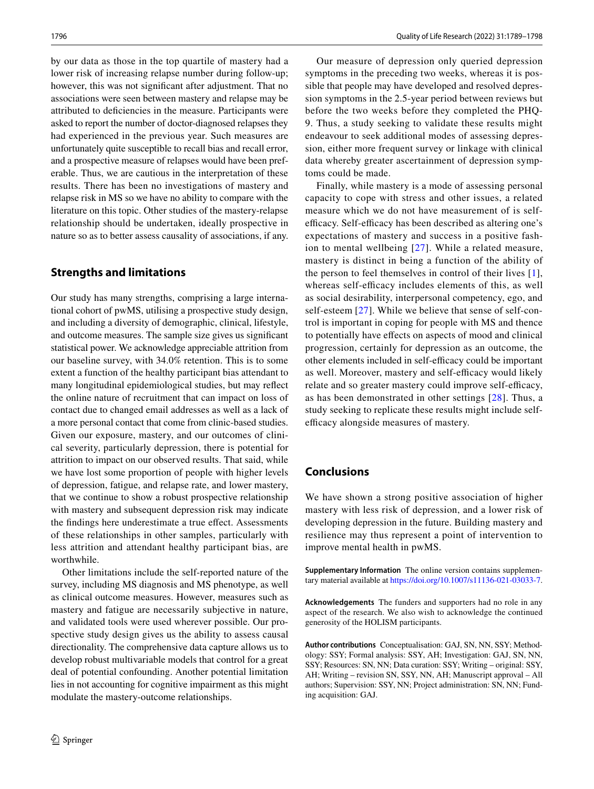by our data as those in the top quartile of mastery had a lower risk of increasing relapse number during follow-up; however, this was not significant after adjustment. That no associations were seen between mastery and relapse may be attributed to defciencies in the measure. Participants were asked to report the number of doctor-diagnosed relapses they had experienced in the previous year. Such measures are unfortunately quite susceptible to recall bias and recall error, and a prospective measure of relapses would have been preferable. Thus, we are cautious in the interpretation of these results. There has been no investigations of mastery and relapse risk in MS so we have no ability to compare with the literature on this topic. Other studies of the mastery-relapse relationship should be undertaken, ideally prospective in nature so as to better assess causality of associations, if any.

# **Strengths and limitations**

Our study has many strengths, comprising a large international cohort of pwMS, utilising a prospective study design, and including a diversity of demographic, clinical, lifestyle, and outcome measures. The sample size gives us signifcant statistical power. We acknowledge appreciable attrition from our baseline survey, with 34.0% retention. This is to some extent a function of the healthy participant bias attendant to many longitudinal epidemiological studies, but may refect the online nature of recruitment that can impact on loss of contact due to changed email addresses as well as a lack of a more personal contact that come from clinic-based studies. Given our exposure, mastery, and our outcomes of clinical severity, particularly depression, there is potential for attrition to impact on our observed results. That said, while we have lost some proportion of people with higher levels of depression, fatigue, and relapse rate, and lower mastery, that we continue to show a robust prospective relationship with mastery and subsequent depression risk may indicate the fndings here underestimate a true efect. Assessments of these relationships in other samples, particularly with less attrition and attendant healthy participant bias, are worthwhile.

Other limitations include the self-reported nature of the survey, including MS diagnosis and MS phenotype, as well as clinical outcome measures. However, measures such as mastery and fatigue are necessarily subjective in nature, and validated tools were used wherever possible. Our prospective study design gives us the ability to assess causal directionality. The comprehensive data capture allows us to develop robust multivariable models that control for a great deal of potential confounding. Another potential limitation lies in not accounting for cognitive impairment as this might modulate the mastery-outcome relationships.

Our measure of depression only queried depression symptoms in the preceding two weeks, whereas it is possible that people may have developed and resolved depression symptoms in the 2.5-year period between reviews but before the two weeks before they completed the PHQ-9. Thus, a study seeking to validate these results might endeavour to seek additional modes of assessing depression, either more frequent survey or linkage with clinical data whereby greater ascertainment of depression symptoms could be made.

Finally, while mastery is a mode of assessing personal capacity to cope with stress and other issues, a related measure which we do not have measurement of is selfefficacy. Self-efficacy has been described as altering one's expectations of mastery and success in a positive fashion to mental wellbeing [[27\]](#page-9-4). While a related measure, mastery is distinct in being a function of the ability of the person to feel themselves in control of their lives [[1](#page-8-0)], whereas self-efficacy includes elements of this, as well as social desirability, interpersonal competency, ego, and self-esteem [[27\]](#page-9-4). While we believe that sense of self-control is important in coping for people with MS and thence to potentially have efects on aspects of mood and clinical progression, certainly for depression as an outcome, the other elements included in self-efficacy could be important as well. Moreover, mastery and self-efficacy would likely relate and so greater mastery could improve self-efficacy, as has been demonstrated in other settings [\[28\]](#page-9-5). Thus, a study seeking to replicate these results might include selfefficacy alongside measures of mastery.

# **Conclusions**

We have shown a strong positive association of higher mastery with less risk of depression, and a lower risk of developing depression in the future. Building mastery and resilience may thus represent a point of intervention to improve mental health in pwMS.

**Supplementary Information** The online version contains supplementary material available at<https://doi.org/10.1007/s11136-021-03033-7>.

**Acknowledgements** The funders and supporters had no role in any aspect of the research. We also wish to acknowledge the continued generosity of the HOLISM participants.

**Author contributions** Conceptualisation: GAJ, SN, NN, SSY; Methodology: SSY; Formal analysis: SSY, AH; Investigation: GAJ, SN, NN, SSY; Resources: SN, NN; Data curation: SSY; Writing – original: SSY, AH; Writing – revision SN, SSY, NN, AH; Manuscript approval – All authors; Supervision: SSY, NN; Project administration: SN, NN; Funding acquisition: GAJ.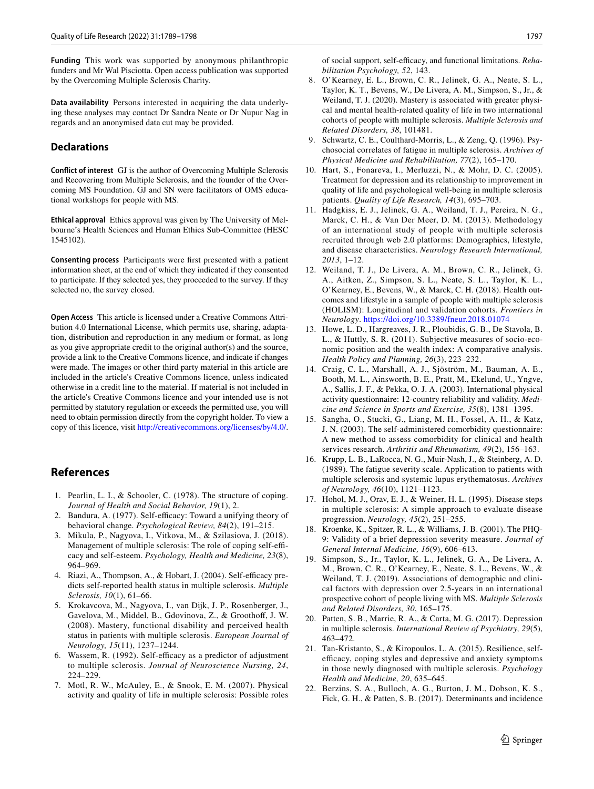**Funding** This work was supported by anonymous philanthropic funders and Mr Wal Pisciotta. Open access publication was supported by the Overcoming Multiple Sclerosis Charity.

**Data availability** Persons interested in acquiring the data underlying these analyses may contact Dr Sandra Neate or Dr Nupur Nag in regards and an anonymised data cut may be provided.

## **Declarations**

**Conflict of interest** GJ is the author of Overcoming Multiple Sclerosis and Recovering from Multiple Sclerosis, and the founder of the Overcoming MS Foundation. GJ and SN were facilitators of OMS educational workshops for people with MS.

**Ethical approval** Ethics approval was given by The University of Melbourne's Health Sciences and Human Ethics Sub-Committee (HESC 1545102).

**Consenting process** Participants were frst presented with a patient information sheet, at the end of which they indicated if they consented to participate. If they selected yes, they proceeded to the survey. If they selected no, the survey closed.

**Open Access** This article is licensed under a Creative Commons Attribution 4.0 International License, which permits use, sharing, adaptation, distribution and reproduction in any medium or format, as long as you give appropriate credit to the original author(s) and the source, provide a link to the Creative Commons licence, and indicate if changes were made. The images or other third party material in this article are included in the article's Creative Commons licence, unless indicated otherwise in a credit line to the material. If material is not included in the article's Creative Commons licence and your intended use is not permitted by statutory regulation or exceeds the permitted use, you will need to obtain permission directly from the copyright holder. To view a copy of this licence, visit <http://creativecommons.org/licenses/by/4.0/>.

# **References**

- <span id="page-8-0"></span>1. Pearlin, L. I., & Schooler, C. (1978). The structure of coping. *Journal of Health and Social Behavior, 19*(1), 2.
- <span id="page-8-1"></span>2. Bandura, A. (1977). Self-efficacy: Toward a unifying theory of behavioral change. *Psychological Review, 84*(2), 191–215.
- <span id="page-8-2"></span>3. Mikula, P., Nagyova, I., Vitkova, M., & Szilasiova, J. (2018). Management of multiple sclerosis: The role of coping self-efficacy and self-esteem. *Psychology, Health and Medicine, 23*(8), 964–969.
- <span id="page-8-3"></span>4. Riazi, A., Thompson, A., & Hobart, J. (2004). Self-efficacy predicts self-reported health status in multiple sclerosis. *Multiple Sclerosis, 10*(1), 61–66.
- <span id="page-8-4"></span>5. Krokavcova, M., Nagyova, I., van Dijk, J. P., Rosenberger, J., Gavelova, M., Middel, B., Gdovinova, Z., & Groothof, J. W. (2008). Mastery, functional disability and perceived health status in patients with multiple sclerosis. *European Journal of Neurology, 15*(11), 1237–1244.
- <span id="page-8-5"></span>6. Wassem, R. (1992). Self-efficacy as a predictor of adjustment to multiple sclerosis. *Journal of Neuroscience Nursing, 24*, 224–229.
- <span id="page-8-6"></span>7. Motl, R. W., McAuley, E., & Snook, E. M. (2007). Physical activity and quality of life in multiple sclerosis: Possible roles

of social support, self-efficacy, and functional limitations. *Rehabilitation Psychology, 52*, 143.

- <span id="page-8-7"></span>8. O'Kearney, E. L., Brown, C. R., Jelinek, G. A., Neate, S. L., Taylor, K. T., Bevens, W., De Livera, A. M., Simpson, S., Jr., & Weiland, T. J. (2020). Mastery is associated with greater physical and mental health-related quality of life in two international cohorts of people with multiple sclerosis. *Multiple Sclerosis and Related Disorders, 38*, 101481.
- <span id="page-8-8"></span>9. Schwartz, C. E., Coulthard-Morris, L., & Zeng, Q. (1996). Psychosocial correlates of fatigue in multiple sclerosis. *Archives of Physical Medicine and Rehabilitation, 77*(2), 165–170.
- <span id="page-8-9"></span>10. Hart, S., Fonareva, I., Merluzzi, N., & Mohr, D. C. (2005). Treatment for depression and its relationship to improvement in quality of life and psychological well-being in multiple sclerosis patients. *Quality of Life Research, 14*(3), 695–703.
- <span id="page-8-10"></span>11. Hadgkiss, E. J., Jelinek, G. A., Weiland, T. J., Pereira, N. G., Marck, C. H., & Van Der Meer, D. M. (2013). Methodology of an international study of people with multiple sclerosis recruited through web 2.0 platforms: Demographics, lifestyle, and disease characteristics. *Neurology Research International, 2013*, 1–12.
- <span id="page-8-11"></span>12. Weiland, T. J., De Livera, A. M., Brown, C. R., Jelinek, G. A., Aitken, Z., Simpson, S. L., Neate, S. L., Taylor, K. L., O'Kearney, E., Bevens, W., & Marck, C. H. (2018). Health outcomes and lifestyle in a sample of people with multiple sclerosis (HOLISM): Longitudinal and validation cohorts. *Frontiers in Neurology*. <https://doi.org/10.3389/fneur.2018.01074>
- <span id="page-8-12"></span>13. Howe, L. D., Hargreaves, J. R., Ploubidis, G. B., De Stavola, B. L., & Huttly, S. R. (2011). Subjective measures of socio-economic position and the wealth index: A comparative analysis. *Health Policy and Planning, 26*(3), 223–232.
- <span id="page-8-13"></span>14. Craig, C. L., Marshall, A. J., Sjöström, M., Bauman, A. E., Booth, M. L., Ainsworth, B. E., Pratt, M., Ekelund, U., Yngve, A., Sallis, J. F., & Pekka, O. J. A. (2003). International physical activity questionnaire: 12-country reliability and validity. *Medicine and Science in Sports and Exercise, 35*(8), 1381–1395.
- <span id="page-8-14"></span>15. Sangha, O., Stucki, G., Liang, M. H., Fossel, A. H., & Katz, J. N. (2003). The self-administered comorbidity questionnaire: A new method to assess comorbidity for clinical and health services research. *Arthritis and Rheumatism, 49*(2), 156–163.
- <span id="page-8-15"></span>16. Krupp, L. B., LaRocca, N. G., Muir-Nash, J., & Steinberg, A. D. (1989). The fatigue severity scale. Application to patients with multiple sclerosis and systemic lupus erythematosus. *Archives of Neurology, 46*(10), 1121–1123.
- <span id="page-8-16"></span>17. Hohol, M. J., Orav, E. J., & Weiner, H. L. (1995). Disease steps in multiple sclerosis: A simple approach to evaluate disease progression. *Neurology, 45*(2), 251–255.
- <span id="page-8-17"></span>18. Kroenke, K., Spitzer, R. L., & Williams, J. B. (2001). The PHQ-9: Validity of a brief depression severity measure. *Journal of General Internal Medicine, 16*(9), 606–613.
- <span id="page-8-18"></span>19. Simpson, S., Jr., Taylor, K. L., Jelinek, G. A., De Livera, A. M., Brown, C. R., O'Kearney, E., Neate, S. L., Bevens, W., & Weiland, T. J. (2019). Associations of demographic and clinical factors with depression over 2.5-years in an international prospective cohort of people living with MS. *Multiple Sclerosis and Related Disorders, 30*, 165–175.
- <span id="page-8-19"></span>20. Patten, S. B., Marrie, R. A., & Carta, M. G. (2017). Depression in multiple sclerosis. *International Review of Psychiatry, 29*(5), 463–472.
- <span id="page-8-20"></span>21. Tan-Kristanto, S., & Kiropoulos, L. A. (2015). Resilience, selfefficacy, coping styles and depressive and anxiety symptoms in those newly diagnosed with multiple sclerosis. *Psychology Health and Medicine, 20*, 635–645.
- <span id="page-8-21"></span>22. Berzins, S. A., Bulloch, A. G., Burton, J. M., Dobson, K. S., Fick, G. H., & Patten, S. B. (2017). Determinants and incidence